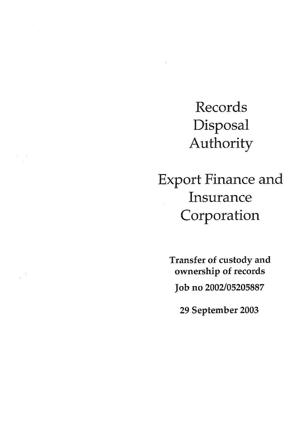Records Disposal Authority

Export Finance and Insurance Corporation

Transfer of custody and ownership of records Job no *2002/05205887* 

 $\frac{1}{\sqrt{2}}$ 

29 September 2003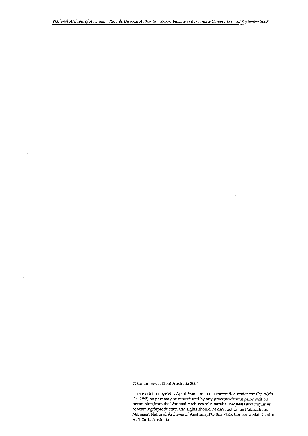$\overline{a}$ 

 $\mathcal{A}^{\mathcal{A}}$ à

 $\frac{1}{\sqrt{2\pi}}\int_{0}^{\frac{1}{2}}\frac{1}{\sqrt{2\pi}}\left(\frac{1}{2}\right)^{2}d\theta\left(\frac{1}{2}\right)$ 

© Commonwealth of Australia 2003

This work is copyright. Apart from any use as permitted under the *Copyright Act* 1968, no part may be reproduced by any process without prior written permission from the National Archives of Australia. Requests and inquiries concernlng'faproduction and rights should be directed to the Publications Manager, National Archives of Australia, PO Box 7425, Canberra Mail Centre ACT 2610, Australia.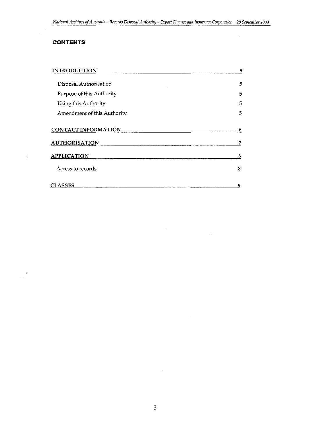## **CONTENTS**

 $\hat{\boldsymbol{\tau}}$ 

 $\frac{1}{2}$ 

 $\frac{1}{\sqrt{2}}$ 

| <b>INTRODUCTION</b>         | 5 |  |
|-----------------------------|---|--|
|                             |   |  |
| Disposal Authorisation      | 5 |  |
| Purpose of this Authority   | 5 |  |
| Using this Authority        | 5 |  |
| Amendment of this Authority | 5 |  |
|                             |   |  |
| <b>CONTACT INFORMATION</b>  | 6 |  |
| <b>AUTHORISATION</b>        | 7 |  |
| <b>APPLICATION</b>          | 8 |  |
| Access to records           | 8 |  |
| <b>CLASSES</b>              | 9 |  |

 $\sim$ 

 $\mathcal{L}_{\mathcal{L}}$ 

 $\sim$ 

 $\mathcal{A}^{\mathcal{A}}$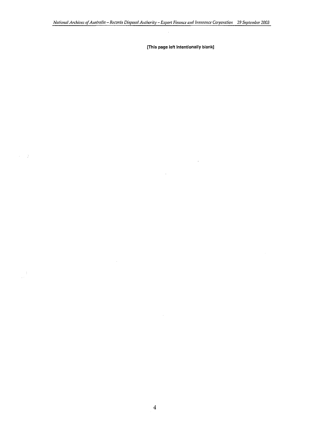$\sim$ 

 $\alpha=\frac{1}{2}$  .

 $\frac{1}{2}$ 

[ThIs page left Intentionally blank]

 $\sim 10^{-11}$ 

 $\sim 10^6$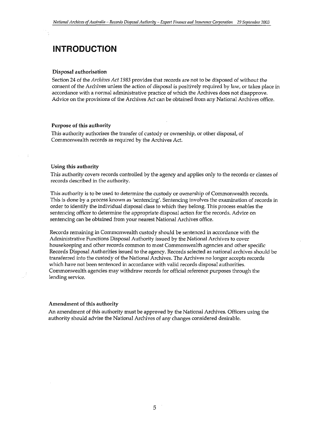# **INTRODUCTION**

#### Disposal authorisation

Section 24 of the *Archives Act* 1983 provides that records are not to be disposed of without the consent of the Archives unless the action of disposal is positively required by law, or takes place in accordance with a normal administrative practice of which the Archives does not disapprove. Advice on the provisions of the Archives Act can be obtained from any National Archives office.

#### Purpose of this authority

This authority authorises the transfer of custody or ownership, or other disposal, of Commonwealth records as required by the Archives Act.

#### Using this authority

This authority covers records controlled by the agency and applies only to the records or classes of records described in the authority.

This authority is to be used to determine the custody or ownership of Commonwealth records. This is done by a process known as 'sentencing'. Sentencing involves the examination of records in order to identify the individual disposal class to which they belong. This process enables the sentencing officer to determine the appropriate disposal action for the records. Advice on sentencing can be obtained from your nearest National Archives office.

Records remaining in Commonwealth custody should be sentenced in accordance with the Administrative Functions Disposal Authority issued by the National Archives to cover housekeeping and other records common to most Commonwealth agencies and other specific Records Disposal Authorities issued to the agency. Records selected as national archives should be transferred into the custody of the National Archives. The Archives no longer accepts records which have not been sentenced in accordance with valid records disposal authorities. Commonwealth agencies may withdraw records for official reference purposes through the lending service.

#### Amendment of this authority

An amendment of this authority must be approved by the National Archives. Officers using the authority should advise the National Archives of any changes considered desirable.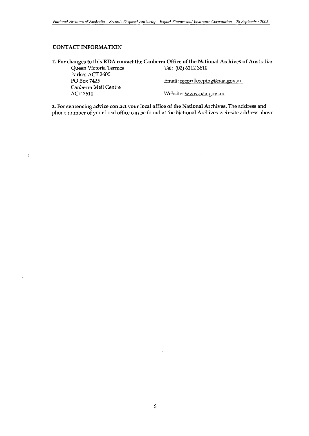### CONTACT INFORMATION

 $\frac{1}{\sigma^2}$ 

1. For changes to this RDA contact the Canberra Office of the National Archives of Australia:<br>Queen Victoria Terrace Tel: (02) 6212 3610

Queen Victoria Terrace Parkes ACT 2600<br>PO Box 7425 Canberra Mail Centre<br>ACT 2610

Email: recordkeeping@naa.gov.au

 $\bar{a}$ 

Website: www.naa.gov.au

2. For sentencing advice contact your local office of the National Archives. The address and phone number of your local office can be found at the National Archives web-site address above.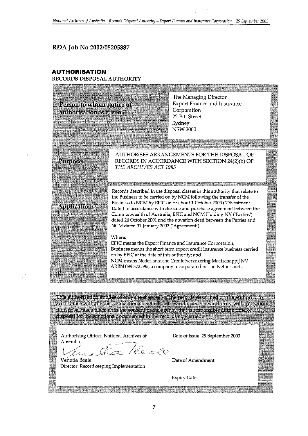## **RDA Job No 2002/05205887**

### **AUTHORISATION RECORDS DISPOSAL AUTHORITY**

| <b>Person to whom notice of</b><br>authorisation is given: |                                                                                                                                                                                                                                                                                                                                                                                                                                                                                             | The Managing Director<br><b>Export Finance and Insurance</b><br>Corporation<br>22 Pitt Street<br>Sydney<br><b>NSW 2000</b>                                                                                                                                       |  |
|------------------------------------------------------------|---------------------------------------------------------------------------------------------------------------------------------------------------------------------------------------------------------------------------------------------------------------------------------------------------------------------------------------------------------------------------------------------------------------------------------------------------------------------------------------------|------------------------------------------------------------------------------------------------------------------------------------------------------------------------------------------------------------------------------------------------------------------|--|
| Minposer                                                   | AUTHORISES ARRANGEMENTS FOR THE DISPOSAL OF<br>RECORDS IN ACCORDANCE WITH SECTION 24(2)(b) OF<br>THE ARCHIVES ACT 1983                                                                                                                                                                                                                                                                                                                                                                      |                                                                                                                                                                                                                                                                  |  |
| <b>Application</b>                                         | Records described in the disposal classes in this authority that relate to<br>the Business to be carried on by NCM following the transfer of the<br>Business to NCM by EFIC on or about 1 October 2003 ('Divestment<br>Date') in accordance with the sale and purchase agreement between the<br>Commonwealth of Australia, EFIC and NCM Holding NV ('Parties')<br>dated 26 October 2001 and the novation deed between the Parties and<br>NCM dated 31 January 2002 ('Agreement').<br>Where: |                                                                                                                                                                                                                                                                  |  |
|                                                            | on by EFIC at the date of this authority; and                                                                                                                                                                                                                                                                                                                                                                                                                                               | EFIC means the Export Finance and Insurance Corporation;<br>Business means the short term export credit insurance business carried<br>NCM means Nederlandsche Credietverzekering Maatschappij NV<br>ARBN 099 372 595, a company incorporated in The Netherlands. |  |

This authorisation applies to only the disposal of the records described on the authority in accordance with the disposal action specified on the authority. The authority will apply only if disposal takes place with the consent of the agency that is responsible at the time of disposal for the functions documented in the records concerned.

Authorising Officer, National Archives of Australia

Date of Issue 29 September 2003

Real

e de la propiedad de la capital de la capital de la capital de la capital de la capital de la capital de la ca

Venetia Beale Director, Recordkeeping Implementation

Date of Amendment

**Expiry Date**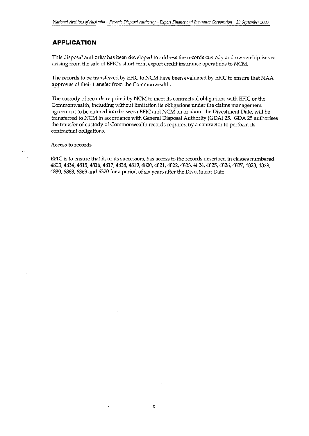## **APPLICATION**

This disposal authority has been deveioped to address the records custody and ownership issues arising from the sale of EPIC's short-term export credit insurance operations to NCM.

The records to be transferred by EPIC to NCM have been evaluated by EPIC to ensure that NAA approves of their transfer from the Commonwealth.

The custody of records required by NCM to meet its contractual obligations with EFIC or the Commonwealth, including without limitation its obligations under the claims management agreement to be entered into between EPIC and NCM on or about the Divestment Date, will be transferred to NCM in accordance with General Disposal Authority (GDA) 25. GDA 25 authorises the transfer of custody of Commonwealth records required by a contractor to perform its contractual obligations.

### **Access to records**

EFIC is to ensure that it, or its successors, has access to the records described in classes numbered 4813,4814,4815,4816,4817,4818,4819,4820,4821, 4822, 4823, 4824, 4825, 4826, 4827, 4828, 4829, 4830,6368,6369 and 6370 for a period of six years after the Divestment Date.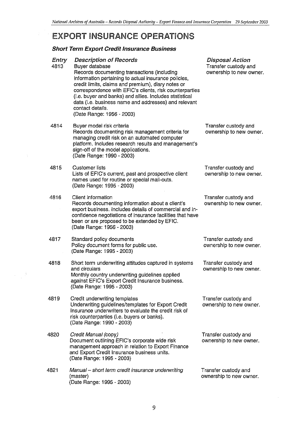# EXPORT INSURANCE OPERATiONS

## Short Term Export Credit Insurance Business

 $\frac{1}{3}$ 

 $\label{eq:2} \frac{1}{2} \sum_{i=1}^n \frac{1}{2} \sum_{j=1}^n \frac{1}{2} \sum_{j=1}^n \frac{1}{2} \sum_{j=1}^n \frac{1}{2} \sum_{j=1}^n \frac{1}{2} \sum_{j=1}^n \frac{1}{2} \sum_{j=1}^n \frac{1}{2} \sum_{j=1}^n \frac{1}{2} \sum_{j=1}^n \frac{1}{2} \sum_{j=1}^n \frac{1}{2} \sum_{j=1}^n \frac{1}{2} \sum_{j=1}^n \frac{1}{2} \sum_{j=1}^n \frac{1}{$ 

| Entry<br>4813 | <b>Description of Records</b><br>Buyer database<br>Records documenting transactions (including<br>information pertaining to actual insurance policies,<br>credit limits, claims and premium), diary notes or<br>correspondence with EFIC's clients, risk counterparties<br>(i.e. buyer and banks) and allies. Includes statistical<br>data (i.e. business name and addresses) and relevant<br>contact details.<br>(Date Range: 1956 - 2003) | <b>Disposal Action</b><br>Transfer custody and<br>ownership to new owner. |
|---------------|---------------------------------------------------------------------------------------------------------------------------------------------------------------------------------------------------------------------------------------------------------------------------------------------------------------------------------------------------------------------------------------------------------------------------------------------|---------------------------------------------------------------------------|
| 4814          | Buyer model risk criteria<br>Records documenting risk management criteria for<br>managing credit risk on an automated computer<br>platform. Includes research results and management's<br>sign-off of the model applications.<br>(Date Range: 1990 - 2003)                                                                                                                                                                                  | Transfer custody and<br>ownership to new owner.                           |
| 4815          | Customer lists<br>Lists of EFIC's current, past and prospective client<br>names used for routine or special mail-outs.<br>(Date Range: 1995 - 2003)                                                                                                                                                                                                                                                                                         | Transfer custody and<br>ownership to new owner.                           |
| 4816          | Client information<br>Records documenting information about a client's<br>export business. Includes details of commercial and in-<br>confidence negotiations of insurance facilities that have<br>been or are proposed to be extended by EFIC.<br>(Date Range: 1956 - 2003)                                                                                                                                                                 | Transfer custody and<br>ownership to new owner.                           |
| 4817          | Standard policy documents<br>Policy document forms for public use.<br>(Date Range: 1995 - 2003)                                                                                                                                                                                                                                                                                                                                             | Transfer custody and<br>ownership to new owner.                           |
| 4818          | Short term underwriting attitudes captured in systems<br>and circulars<br>Monthly country underwriting guidelines applied<br>against EFIC's Export Credit Insurance business.<br>(Date Range: 1995 - 2003)                                                                                                                                                                                                                                  | Transfer custody and<br>ownership to new owner.                           |
| 4819          | Credit underwriting templates<br>Underwriting guidelines/templates for Export Credit<br>Insurance underwriters to evaluate the credit risk of<br>risk counterparties (i.e. buyers or banks).<br>(Date Range: 1990 - 2003)                                                                                                                                                                                                                   | Transfer custody and<br>ownership to new owner.                           |
| 4820          | Credit Manual (copy)<br>Document outlining EFIC's corporate wide risk<br>management approach in relation to Export Finance<br>and Export Credit Insurance business units.<br>(Date Range: 1995 - 2003)                                                                                                                                                                                                                                      | Transfer custody and<br>ownership to new owner.                           |
| 4821          | Manual - short term credit insurance underwriting<br>(master)<br>(Date Range: 1995 - 2003)                                                                                                                                                                                                                                                                                                                                                  | Transfer custody and<br>ownership to new owner.                           |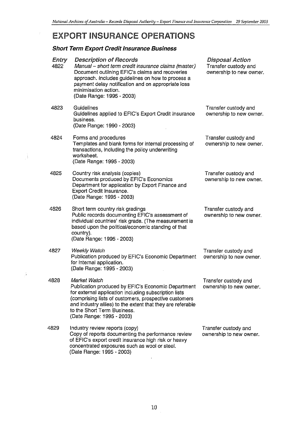# EXPORT INSURANCE OPERATIONS

## **Short Term Export Credit Insurance Business**

Ĵ

 $\hat{\mathcal{J}}$ 

| Entry<br>4822 | <b>Description of Records</b><br>Manual - short term credit insurance claims (master)<br>Document outlining EFIC's claims and recoveries<br>approach. Includes guidelines on how to process a<br>payment delay notification and on appropriate loss<br>minimisation action.<br>(Date Range: 1995 - 2003)       | <b>Disposal Action</b><br>Transfer custody and<br>ownership to new owner. |
|---------------|----------------------------------------------------------------------------------------------------------------------------------------------------------------------------------------------------------------------------------------------------------------------------------------------------------------|---------------------------------------------------------------------------|
| 4823          | Guidelines<br>Guidelines applied to EFIC's Export Credit Insurance<br>business.<br>(Date Range: 1990 - 2003)                                                                                                                                                                                                   | Transfer custody and<br>ownership to new owner.                           |
| 4824          | Forms and procedures<br>Templates and blank forms for internal processing of<br>transactions, including the policy underwriting<br>worksheet.<br>(Date Range: 1995 - 2003)                                                                                                                                     | Transfer custody and<br>ownership to new owner.                           |
| 4825          | Country risk analysis (copies)<br>Documents produced by EFIC's Economics<br>Department for application by Export Finance and<br>Export Credit Insurance.<br>(Date Range: 1995 - 2003)                                                                                                                          | Transfer custody and<br>ownership to new owner.                           |
| 4826          | Short term country risk gradings<br>Public records documenting EFIC's assessment of<br>individual countries' risk grade. (The measurement is<br>based upon the political/economic standing of that<br>country).<br>(Date Range: 1995 - 2003)                                                                   | Transfer custody and<br>ownership to new owner.                           |
| 4827          | Weekly Watch<br>Publication produced by EFIC's Economic Department<br>for internal application.<br>(Date Range: 1995 - 2003)                                                                                                                                                                                   | Transfer custody and<br>ownership to new owner.                           |
| 4828          | Market Watch<br>Publication produced by EFIC's Economic Department<br>for external application including subscription lists<br>(comprising lists of customers, prospective customers<br>and industry allies) to the extent that they are referable<br>to the Short Term Business.<br>(Date Range: 1995 - 2003) | Transfer custody and<br>ownership to new owner.                           |
| 4829          | Industry review reports (copy)<br>Copy of reports documenting the performance review<br>of EFIC's export credit insurance high risk or heavy<br>concentrated exposures such as wool or steel.<br>(Date Range: 1995 - 2003)                                                                                     | Transfer custody and<br>ownership to new owner.                           |

 $\bar{\epsilon}$